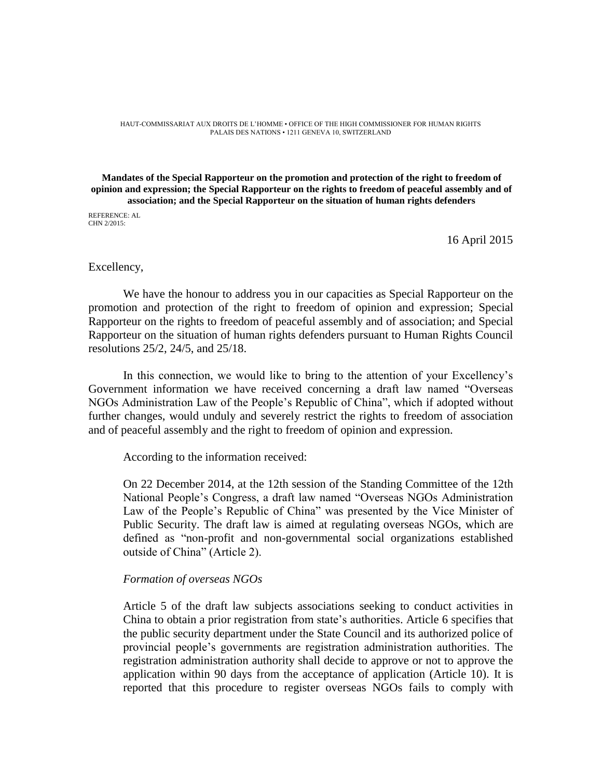HAUT-COMMISSARIAT AUX DROITS DE L'HOMME • OFFICE OF THE HIGH COMMISSIONER FOR HUMAN RIGHTS PALAIS DES NATIONS • 1211 GENEVA 10, SWITZERLAND

#### **Mandates of the Special Rapporteur on the promotion and protection of the right to freedom of opinion and expression; the Special Rapporteur on the rights to freedom of peaceful assembly and of association; and the Special Rapporteur on the situation of human rights defenders**

REFERENCE: AL CHN 2/2015:

16 April 2015

### Excellency,

We have the honour to address you in our capacities as Special Rapporteur on the promotion and protection of the right to freedom of opinion and expression; Special Rapporteur on the rights to freedom of peaceful assembly and of association; and Special Rapporteur on the situation of human rights defenders pursuant to Human Rights Council resolutions 25/2, 24/5, and 25/18.

In this connection, we would like to bring to the attention of your Excellency's Government information we have received concerning a draft law named "Overseas NGOs Administration Law of the People's Republic of China", which if adopted without further changes, would unduly and severely restrict the rights to freedom of association and of peaceful assembly and the right to freedom of opinion and expression.

According to the information received:

On 22 December 2014, at the 12th session of the Standing Committee of the 12th National People's Congress, a draft law named "Overseas NGOs Administration Law of the People's Republic of China" was presented by the Vice Minister of Public Security. The draft law is aimed at regulating overseas NGOs, which are defined as "non-profit and non-governmental social organizations established outside of China" (Article 2).

## *Formation of overseas NGOs*

Article 5 of the draft law subjects associations seeking to conduct activities in China to obtain a prior registration from state's authorities. Article 6 specifies that the public security department under the State Council and its authorized police of provincial people's governments are registration administration authorities. The registration administration authority shall decide to approve or not to approve the application within 90 days from the acceptance of application (Article 10). It is reported that this procedure to register overseas NGOs fails to comply with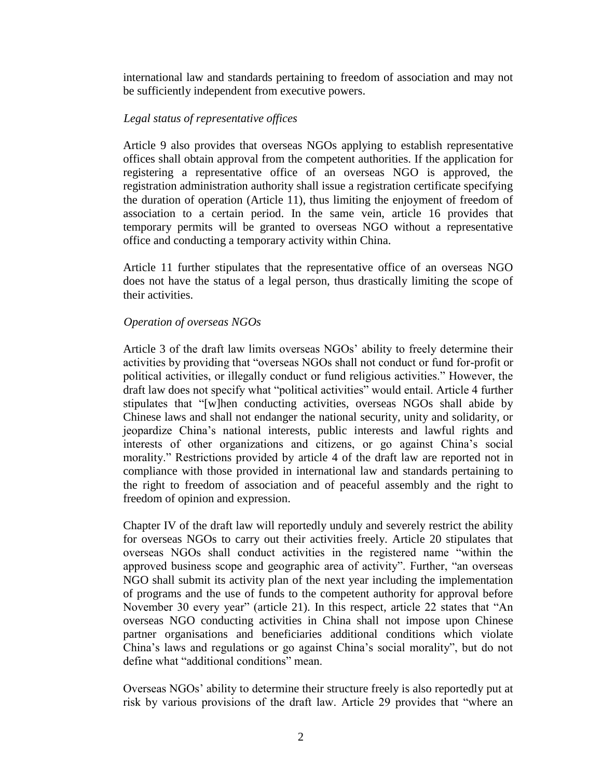international law and standards pertaining to freedom of association and may not be sufficiently independent from executive powers.

# *Legal status of representative offices*

Article 9 also provides that overseas NGOs applying to establish representative offices shall obtain approval from the competent authorities. If the application for registering a representative office of an overseas NGO is approved, the registration administration authority shall issue a registration certificate specifying the duration of operation (Article 11), thus limiting the enjoyment of freedom of association to a certain period. In the same vein, article 16 provides that temporary permits will be granted to overseas NGO without a representative office and conducting a temporary activity within China.

Article 11 further stipulates that the representative office of an overseas NGO does not have the status of a legal person, thus drastically limiting the scope of their activities.

## *Operation of overseas NGOs*

Article 3 of the draft law limits overseas NGOs' ability to freely determine their activities by providing that "overseas NGOs shall not conduct or fund for-profit or political activities, or illegally conduct or fund religious activities." However, the draft law does not specify what "political activities" would entail. Article 4 further stipulates that "[w]hen conducting activities, overseas NGOs shall abide by Chinese laws and shall not endanger the national security, unity and solidarity, or jeopardize China's national interests, public interests and lawful rights and interests of other organizations and citizens, or go against China's social morality." Restrictions provided by article 4 of the draft law are reported not in compliance with those provided in international law and standards pertaining to the right to freedom of association and of peaceful assembly and the right to freedom of opinion and expression.

Chapter IV of the draft law will reportedly unduly and severely restrict the ability for overseas NGOs to carry out their activities freely. Article 20 stipulates that overseas NGOs shall conduct activities in the registered name "within the approved business scope and geographic area of activity". Further, "an overseas NGO shall submit its activity plan of the next year including the implementation of programs and the use of funds to the competent authority for approval before November 30 every year" (article 21). In this respect, article 22 states that "An overseas NGO conducting activities in China shall not impose upon Chinese partner organisations and beneficiaries additional conditions which violate China's laws and regulations or go against China's social morality", but do not define what "additional conditions" mean.

Overseas NGOs' ability to determine their structure freely is also reportedly put at risk by various provisions of the draft law. Article 29 provides that "where an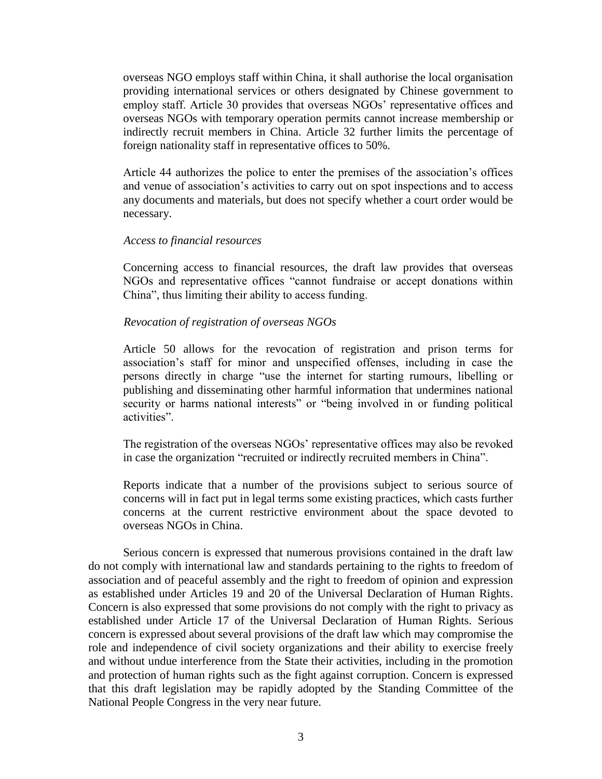overseas NGO employs staff within China, it shall authorise the local organisation providing international services or others designated by Chinese government to employ staff. Article 30 provides that overseas NGOs' representative offices and overseas NGOs with temporary operation permits cannot increase membership or indirectly recruit members in China. Article 32 further limits the percentage of foreign nationality staff in representative offices to 50%.

Article 44 authorizes the police to enter the premises of the association's offices and venue of association's activities to carry out on spot inspections and to access any documents and materials, but does not specify whether a court order would be necessary.

### *Access to financial resources*

Concerning access to financial resources, the draft law provides that overseas NGOs and representative offices "cannot fundraise or accept donations within China", thus limiting their ability to access funding.

### *Revocation of registration of overseas NGOs*

Article 50 allows for the revocation of registration and prison terms for association's staff for minor and unspecified offenses, including in case the persons directly in charge "use the internet for starting rumours, libelling or publishing and disseminating other harmful information that undermines national security or harms national interests" or "being involved in or funding political activities".

The registration of the overseas NGOs' representative offices may also be revoked in case the organization "recruited or indirectly recruited members in China".

Reports indicate that a number of the provisions subject to serious source of concerns will in fact put in legal terms some existing practices, which casts further concerns at the current restrictive environment about the space devoted to overseas NGOs in China.

Serious concern is expressed that numerous provisions contained in the draft law do not comply with international law and standards pertaining to the rights to freedom of association and of peaceful assembly and the right to freedom of opinion and expression as established under Articles 19 and 20 of the Universal Declaration of Human Rights. Concern is also expressed that some provisions do not comply with the right to privacy as established under Article 17 of the Universal Declaration of Human Rights. Serious concern is expressed about several provisions of the draft law which may compromise the role and independence of civil society organizations and their ability to exercise freely and without undue interference from the State their activities, including in the promotion and protection of human rights such as the fight against corruption. Concern is expressed that this draft legislation may be rapidly adopted by the Standing Committee of the National People Congress in the very near future.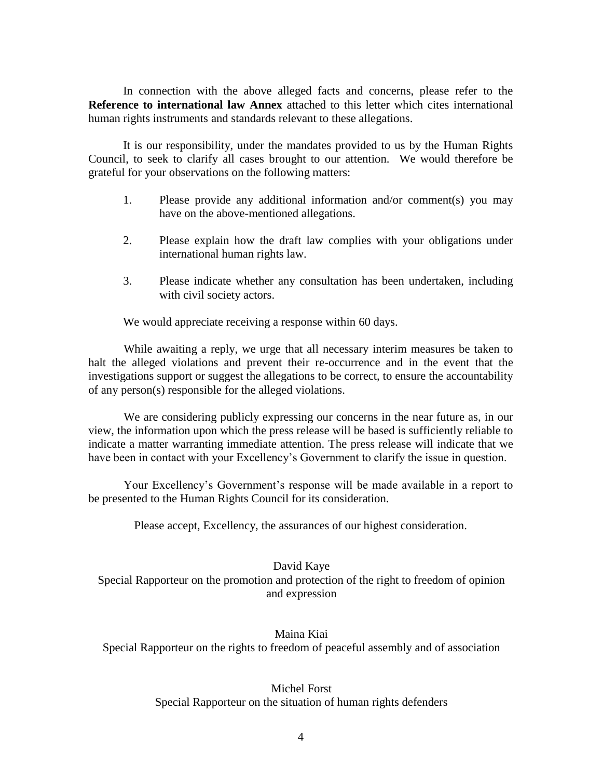In connection with the above alleged facts and concerns, please refer to the **Reference to international law Annex** attached to this letter which cites international human rights instruments and standards relevant to these allegations.

It is our responsibility, under the mandates provided to us by the Human Rights Council, to seek to clarify all cases brought to our attention. We would therefore be grateful for your observations on the following matters:

- 1. Please provide any additional information and/or comment(s) you may have on the above-mentioned allegations.
- 2. Please explain how the draft law complies with your obligations under international human rights law.
- 3. Please indicate whether any consultation has been undertaken, including with civil society actors.

We would appreciate receiving a response within 60 days.

While awaiting a reply, we urge that all necessary interim measures be taken to halt the alleged violations and prevent their re-occurrence and in the event that the investigations support or suggest the allegations to be correct, to ensure the accountability of any person(s) responsible for the alleged violations.

We are considering publicly expressing our concerns in the near future as, in our view, the information upon which the press release will be based is sufficiently reliable to indicate a matter warranting immediate attention. The press release will indicate that we have been in contact with your Excellency's Government to clarify the issue in question.

Your Excellency's Government's response will be made available in a report to be presented to the Human Rights Council for its consideration.

Please accept, Excellency, the assurances of our highest consideration.

David Kaye Special Rapporteur on the promotion and protection of the right to freedom of opinion and expression

Maina Kiai Special Rapporteur on the rights to freedom of peaceful assembly and of association

# Michel Forst Special Rapporteur on the situation of human rights defenders